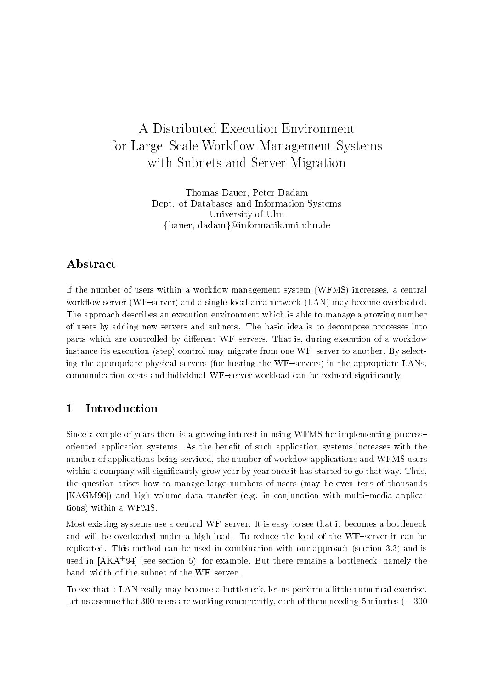# A Distributed Execution Environment for Large-Scale Workow Management Systems with Subnets and Server Migration

Thomas Bauer- Peter Dadam Dept. of Databases and Information Systems University of Ulm  $\{\mathrm{bauer},\,\mathrm{dadam}\}$ @informatik.uni-ulm.de

# Abstract

If the number of users within a work-ow management system WFMS increases a central work-ow server WFserver and a single local area network LAN may become overloaded The approach describes an execution environment which is able to manage a growing number of users by adding new servers and subnets The basic idea is to decompose processes into parts which are controlled by dierent WFservers That is during execution of a work-ow instance its execution (step) control may migrate from one  $WF$ -server to another. By selecting the appropriate physical servers (for hosting the WF-servers) in the appropriate LANs, communication costs and individual workers workload cantle workload cantle signification signification, the

#### $\mathbf{1}$ Introduction

Since a couple of years there is a growing interest in using WFMS for implementing process oriented application systems As the bene t of such application systems increases with the number of applications being serviced the number of work-ow applications and WFMS users within a company will signi cantly grow year by year once it has started to go that way Thus the question arises how to manage large numbers of users (may be even tens of thousands [KAGM96]) and high volume data transfer (e.g. in conjunction with multi-media applications) within a WFMS.

Most existing systems use a central WF-server. It is easy to see that it becomes a bottleneck and will be overloaded under a high load. To reduce the load of the WF-server it can be replicated. This method can be used in combination with our approach (section  $3.3$ ) and is used in [AKA 94] (see section 5), for example. Dut there remains a bottleneck, namely the band-width of the subnet of the WF-server.

To see that a LAN really may become a bottleneck, let us perform a little numerical exercise. Let us assume that  $300$  users are working concurrently, each of them needing 5 minutes (= 300)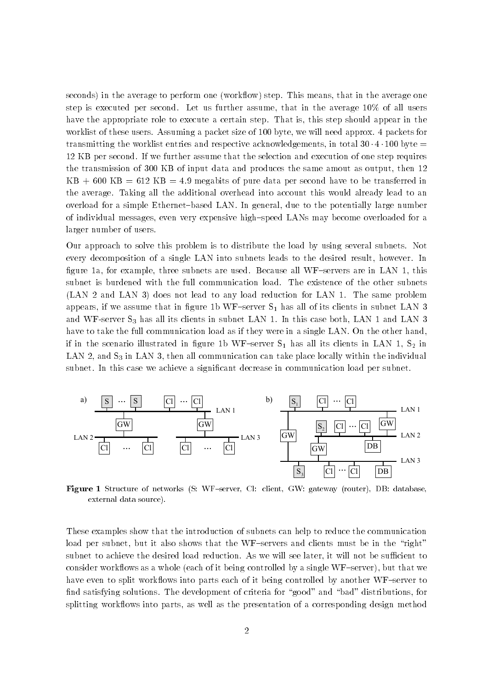seconds in the average to perform one work-ow step This means that in the average one step is executed per second. Let us further assume, that in the average  $10\%$  of all users have the appropriate role to execute a certain step. That is, this step should appear in the worklist of these users. Assuming a packet size of 100 byte, we will need approx. 4 packets for transmitting the worklist entries and respective acknowledgements, in total  $30 \cdot 4 \cdot 100$  byte  $=$ 12 KB per second. If we further assume that the selection and execution of one step requires the transmission of  $300$  KB of input data and produces the same amout as output, then  $12$  $KB + 600 KB = 612 KB = 4.9$  megabits of pure data per second have to be transferred in the average. Taking all the additional overhead into account this would already lead to an overload for a simple Ethernet-based LAN. In general, due to the potentially large number of individual messages, even very expensive high-speed LANs may become overloaded for a larger number of users

Our approach to solve this problem is to distribute the load by using several subnets. Not every decomposition of a single LAN into subnets leads to the desired result, however. In  $\alpha$  for example three subnets are used Because all WFservers are in LAN  $\alpha$ subnet is burdened with the full communication load. The existence of the other subnets  $(LAN 2 and LAN 3)$  does not lead to any load reduction for  $LAN 1$ . The same problem appears if we assume that in gure b WFserver S- has all of its clients in subnet LAN and WF-server  $S_3$  has all its clients in subnet LAN 1. In this case both, LAN 1 and LAN 3 have to take the full communication load as if they were in a single LAN. On the other hand, if in the scenario illustrated in  $\mu$ LAN 2, and  $S_3$  in LAN 3, then all communication can take place locally within the individual subnet In this case we achieve a signi cant decrease in communication load per subnet



**Figure I** Difficulte of Hetworks (D. W.F. Scrver, O.C. Chemi, O.W. gateway (Touter), DD. Gatabase, external data source

These examples show that the introduction of subnets can help to reduce the communication load per subnet, but it also shows that the WF-servers and clients must be in the "right" subnet to achieve the desired load reduction. As we will see later, it will not be sufficient to consider work-ows as a whole each of it being controlled by a single WFserver but that we have even to split work-ows into parts each of it being controlled by another WFserver to nd satisfying solutions The development of criteria for good and bad distributions for splitting work-ows into parts as well as the presentation of a corresponding design method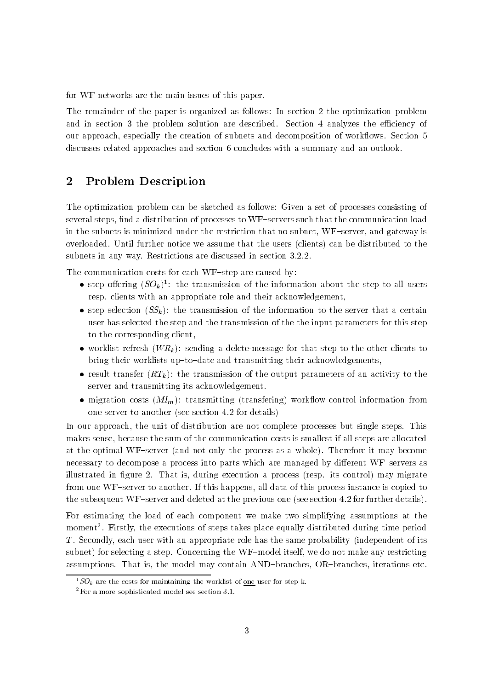for WF networks are the main issues of this paper

The remainder of the paper is organized as follows: In section 2 the optimization problem and in section 3 the problem solution are described. Section 4 analyzes the efficiency of our approach especially the creation of subnets and decomposition of work-ows Section discusses related approaches and section 6 concludes with a summary and an outlook.

# 2 Problem Description

The optimization problem can be sketched as follows: Given a set of processes consisting of several steps indication of the distribution of processes to WFservers that the communication loads that the co in the subnets is minimized under the restriction that no subnet, WF-server, and gateway is overloaded. Until further notice we assume that the users (clients) can be distributed to the subnets in any way. Restrictions are discussed in section 3.2.2.

The communication costs for each WF-step are caused by:

- $\bullet$  step offering  $(SO_k)^+$ : the transmission of the information about the step to all users resp. clients with an appropriate role and their acknowledgement,
- $\bullet$  step selection (SS<sub>k</sub>): the transmission of the information to the server that a certain user has selected the step and the transmission of the the input parameters for this step to the corresponding client
- $\bullet$  worklist refresh (W $R_k$ ): sending a delete-message for that step to the other clients to bring their worklists up-to-date and transmitting their acknowledgements,
- $\bullet$  result transfer ( $KL_k$ ): the transmission of the output parameters of an activity to the server and transmitting its acknowledgement
- $\bullet$  migration costs ( $M I_m$ ): transmitting (transfering) workflow control information from one server to another (see section  $4.2$  for details)

In our approach, the unit of distribution are not complete processes but single steps. This makes sense, because the sum of the communication costs is smallest if all steps are allocated at the optimal WF-server (and not only the process as a whole). Therefore it may become necessary to decompose a process into parts which are managed by different WF-servers as illustrated in  $\mathcal{L}$  is during execution and process respectively. The process respectively in  $\mathcal{L}$ from one WF-server to another. If this happens, all data of this process instance is copied to the subsequent WF-server and deleted at the previous one (see section  $4.2$  for further details).

For estimating the load of each component we make two simplifying assumptions at the moment Firstly the executions of steps takes place equally distributed during time period  $T$ . Secondly, each user with an appropriate role has the same probability (independent of its subnet) for selecting a step. Concerning the WF-model itself, we do not make any restricting assumptions. That is, the model may contain AND-branches, OR-branches, iterations etc.

 $SOR$  are the costs for maintaining the worklist of <u>one</u> user for step k.

 $\,$  - For a more sophisticated model see section 3.1.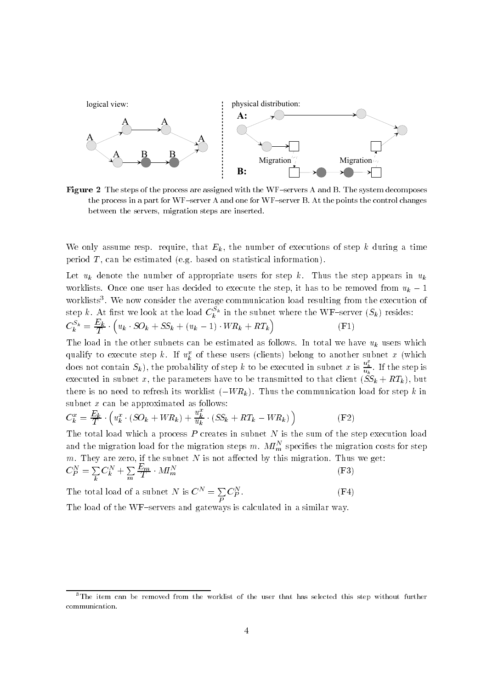

**Figure**  $\Delta$  The steps of the process are assigned with the WFservers A and B. The system decomposes the process in a part for  $WF$ -server A and one for  $WF$ -server B. At the points the control changes between the servers, migration steps are inserted.

We only assume resp. require, that  $E_k$ , the number of executions of step k during a time period  $T$ , can be estimated (e.g. based on statistical information).

Let  $u_k$  denote the number of appropriate users for step k. Thus the step appears in  $u_k$ worklists. Once one user has decided to execute the step, it has to be removed from  $u_k - 1$ worklists We now consider the average communication load resulting from the execution of step  $\kappa$ . At first we look at the load  $C_k^{\;\;\kappa}$  in the subnet where the WF–server  $(S_k)$  resides:  $C_k^{-k} = \frac{1}{T} \cdot (n)$  $u_k \cdot SO_k + SS_k + (u_k - 1) \cdot WR_k + RT_k$  $(F1)$ 

The load in the other subnets can be estimated as follows. In total we have  $u_k$  users which qualify to execute step  $\kappa$ . If  $u^{\star}_k$  of these users (chents) belong to another subnet  $x$  (which does not contain  $S_k$ ), the probability of step k to be executed in subnet x is  $\frac{u_k^2}{u_k}$ . If the step is executed in subnet x, the parameters have to be transmitted to that client  $(SS_k + RT_k)$ , but there is no need to refresh its worklist  $(-WR_k)$ . Thus the communication load for step k in subnet  $x$  can be approximated as follows:

$$
C_k^x = \frac{E_k}{T} \cdot \left( u_k^x \cdot (SO_k + WR_k) + \frac{u_k^x}{u_k} \cdot (SS_k + RT_k - WR_k) \right) \tag{F2}
$$

The total load which a process  $P$  creates in subnet  $N$  is the sum of the step execution load and the migration load for the migration steps  $m.$   $M I_m^+$  specifies the migration costs for step  $\hspace{-.07cm}$ m. They are zero, if the subnet  $N$  is not affected by this migration. Thus we get:  $C_P^N = \sum\limits_k C_k^N + 1$  $C^N_k + \sum\limits_{m } \frac{E_m}{T} \cdot M l$  $M1_m$  (F 3)

The total load of a subnet *N* is 
$$
C^N = \sum_P C_P^N
$$
. (F4)

The load of the WF-servers and gateways is calculated in a similar way.

<sup>&</sup>lt;sup>3</sup>The item can be removed from the worklist of the user that has selected this step without further communication-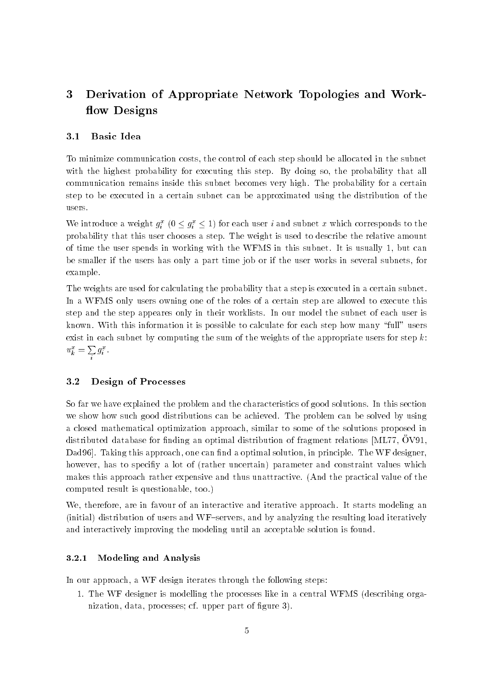# Derivation of Appropriate Network Topologies and Work flow Designs

### Basic Idea

To minimize communication costs the control of each step should be allocated in the subnet with the highest probability for executing this step. By doing so, the probability that all communication remains inside this subnet becomes very high. The probability for a certain step to be executed in a certain subnet can be approximated using the distribution of the users

We introduce a weight  $g_i^x$  ( $0 \leq g_i^x \leq 1$ ) for each user i and subnet x which corresponds to the probability that this user chooses a step The weight is used to describe the relative amount of time the user spends in working with the WFMS in this subnet. It is usually  $1$ , but can be smaller if the users has only a part time job or if the user works in several subnets for example

The weights are used for calculating the probability that a step is executed in a certain subnet In a WFMS only users owning one of the roles of a certain step are allowed to execute this step and the step appeares only in their worklists In our model the subnet of each user is known. With this information it is possible to calculate for each step how many "full" users exist in each subnet by computing the sum of the weights of the appropriate users for step  $k$ :  $u_k^x = \sum g_i^x$ .

#### -Design of Processes

So far we have explained the problem and the characteristics of good solutions In this section we show how such good distributions can be achieved The problem can be solved by using a closed mathematical optimization approach similar to some of the solutions proposed in distributed database for iniding an optimal distribution of fragment relations  $\mu$ iffrit, OV91, Dad
Taking this approach one can nd a optimal solution in principle The WF designer however has to speci y a lot of rather uncertain parameter and constraint values which makes this approach rather expensive and thus unattractive. (And the practical value of the computed result is questionable, too.)

We, therefore, are in favour of an interactive and iterative approach. It starts modeling an  $(inital)$  distribution of users and WF-servers, and by analyzing the resulting load iteratively and interactively improving the modeling until an acceptable solution is found

#### Modeling and Analysis

In our approach, a WF design iterates through the following steps:

1. The WF designer is modelling the processes like in a central WFMS (describing organization data processes characteristics characteristics controlled by the controller of the controller of the c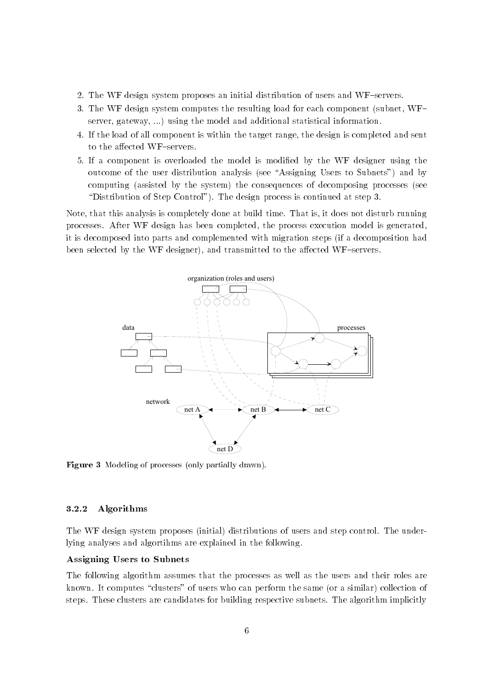- 2. The WF design system proposes an initial distribution of users and WF-servers.
- 3. The WF design system computes the resulting load for each component (subnet,  $WF$ server, gateway, ...) using the model and additional statistical information.
- If the load of all component is within the target range the design is completed and sent to the affected WF-servers.
- If a component is overloaded the model is modi ed by the WF designer using the outcome of the user distribution analysis (see "Assigning Users to Subnets") and by computing (assisted by the system) the consequences of decomposing processes (see "Distribution of Step Control"). The design process is continued at step 3.

Note, that this analysis is completely done at build time. That is, it does not disturb running processes. After WF design has been completed, the process execution model is generated, it is decomposed into parts and complemented with migration steps (if a decomposition had been selected by the WF designer), and transmitted to the affected WF-servers.



**Figure 3** Informing of processes (only partially drawn).

### Algorithms

The WF design system proposes (initial) distributions of users and step control. The underlying analyses and algortihms are explained in the following

### Assigning Users to Subnets

The following algorithm assumes that the processes as well as the users and their roles are known. It computes "clusters" of users who can perform the same (or a similar) collection of steps. These clusters are candidates for building respective subnets. The algorithm implicitly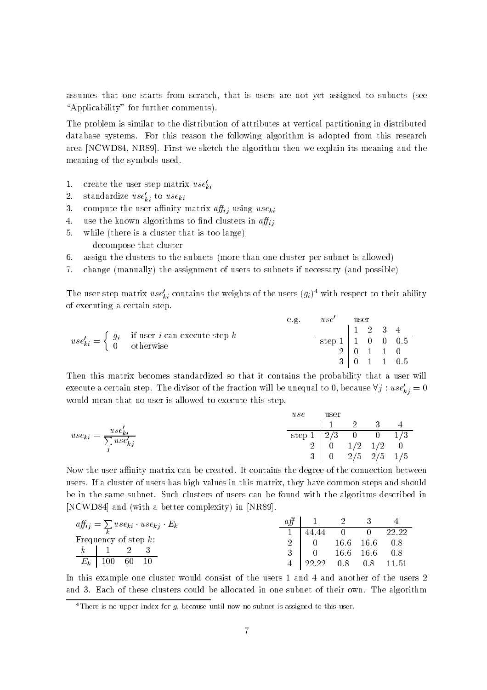assumes that one starts from scratch, that is users are not yet assigned to subnets (see "Applicability" for further comments).

The problem is similar to the distribution of attributes at vertical partitioning in distributed database systems. For this reason the following algorithm is adopted from this research area [NCWD84, NR89]. First we sketch the algorithm then we explain its meaning and the meaning of the symbols used

- 1. create the user step matrix  $use'_{ki}$
- 2. standardize use<sub>ki</sub> to use<sub>ki</sub>
- 3. compute the user affinity matrix  $aff_{ij}$  using  $use_{ki}$
- $\overline{4}$ .  $\mathbf{u}_i$
- 5. while (there is a cluster that is too large) decompose that cluster
- 6. assign the clusters to the subnets (more than one cluster per subnet is allowed)
- 7. change (manually) the assignment of users to subnets if necessary (and possible)

The user step matrix  $use_{ki}$  contains the weights of the users  $(y_i)$  with respect to their ability of executing a certain step

|                                                                                                                     |  | e.g.                                      | $use'$ user |                                                 |                 |  |                         |
|---------------------------------------------------------------------------------------------------------------------|--|-------------------------------------------|-------------|-------------------------------------------------|-----------------|--|-------------------------|
| $use'_{ki} = \begin{cases} g_i & \text{if user } i \text{ can execute step } k \\ 0 & \text{otherwise} \end{cases}$ |  |                                           |             |                                                 | $1 \t2 \t3 \t4$ |  |                         |
|                                                                                                                     |  | step $1 \mid 1 \quad 0 \quad 0 \quad 0.5$ |             |                                                 |                 |  |                         |
|                                                                                                                     |  |                                           |             | $2 \begin{bmatrix} 0 & 1 & 1 & 0 \end{bmatrix}$ |                 |  |                         |
|                                                                                                                     |  |                                           |             |                                                 |                 |  | $\frac{1}{3}$ 0 1 1 0.5 |

Then this matrix becomes standardized so that it contains the probability that a user will execute a certain step. The divisor of the fraction will be unequal to 0, because  $\forall j : use'_{kj} = 0$ would mean that no user is allowed to execute this step

$$
use_{ki} = \frac{use'_{ki}}{\sum_{j} use'_{kj}}
$$
  

$$
use
$$
  

$$
step 1
$$
  

$$
2/3
$$
  

$$
2
$$
  

$$
0
$$
  

$$
1/2
$$
  

$$
3
$$
  

$$
1/3
$$
  

$$
2/3
$$
  

$$
0
$$
  

$$
0
$$
  

$$
1/3
$$
  

$$
2/5
$$
  

$$
2/5
$$
  

$$
1/5
$$

Now the user affinity matrix can be created. It contains the degree of the connection between users If a cluster of users has high values in this matrix they have common steps and should be in the same subnet. Such clusters of users can be found with the algoritms described in [NCWD84] and (with a better complexity) in [NR89].

| $aff_{ij} = \sum use_{ki} \cdot use_{kj} \cdot E_k$ | aff |                | $\sim$ 2 | - 3-                |              |
|-----------------------------------------------------|-----|----------------|----------|---------------------|--------------|
|                                                     |     | 44.44 0        |          |                     | $0 \t 22.22$ |
| Frequency of step $k$ :                             |     | $\overline{0}$ |          | $16.6$ $16.6$ $0.8$ |              |
| $k \mid 1 \mid 2 \mid 3$                            |     |                |          | $16.6$ $16.6$ $0.8$ |              |
| $E_{\bm{k}}$<br>$100\,$<br>60<br>- 10               |     | 22.22          | 0.8      |                     | $0.8$ 11.51  |

In this example one cluster would consist of the users 1 and 4 and another of the users 2 and 3. Each of these clusters could be allocated in one subnet of their own. The algorithm

There is no upper index for  $q$  because until now no subnet is assigned to this user.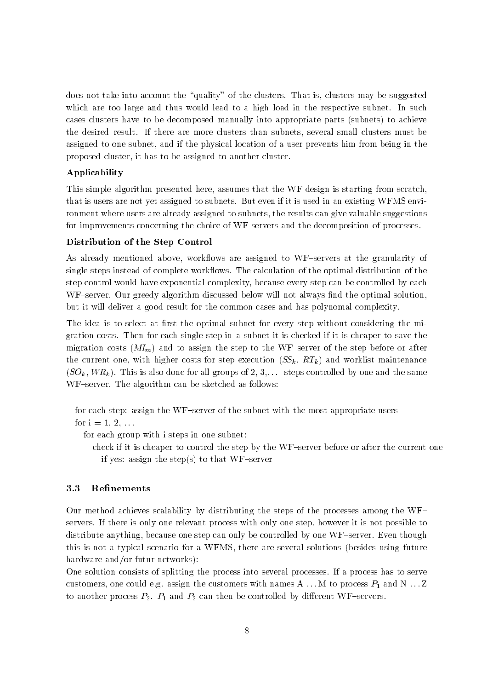does not take into account the "quality" of the clusters. That is, clusters may be suggested which are too large and thus would lead to a high load in the respective subnet. In such cases clusters have to be decomposed manually into appropriate parts (subnets) to achieve the desired result. If there are more clusters than subnets, several small clusters must be assigned to one subnet, and if the physical location of a user prevents him from being in the proposed cluster, it has to be assigned to another cluster.

### Applicability

This simple algorithm presented here, assumes that the WF design is starting from scratch, that is users are not yet assigned to subnets. But even if it is used in an existing WFMS environment where users are already assigned to subnets, the results can give valuable suggestions for improvements concerning the choice of WF servers and the decomposition of processes

### Distribution of the Step Control

ows are already mentioned above work-to work-to work-granularity of the granularity of the granularity of the g single steps instead of complete work-ows The calculation of the optimal distribution of the step control would have exponential complexity because every step can be controlled by each WFserver Our greedy algorithm discussed below will not always nd the optimal solution but it will deliver a good result for the common cases and has polynomal complexity

The idea is to select at  $r$  to select at  $r$  the optimal subnet for every step without considering the mixture gration costs Then for each single step in a subnet it is checked if it is cheaper to save the migration costs  $(M_{I_m})$  and to assign the step to the WF-server of the step before or after the current one, with higher costs for step execution  $(SS_k, RT_k)$  and worklist maintenance  $(SO_k, WR_k)$ . This is also done for all groups of 2, 3,... steps controlled by one and the same  $WF$ -server. The algorithm can be sketched as follows:

for each step: assign the WF-server of the subnet with the most appropriate users

for  $i = 1, 2, ...$ 

for each group with i steps in one subnet

check if it is cheaper to control the step by the WF-server before or after the current one if yes: assign the step(s) to that WF-server

#### -Refinements

Our method achieves scalability by distributing the steps of the processes among the WF servers If there is only one relevant process with only one step however it is not possible to distribute anything, because one step can only be controlled by one  $WF$ -server. Even though this is not a typical scenario for a WFMS, there are several solutions (besides using future hardware and/or futur networks):

One solution consists of splitting the process into several processes If a process has to serve customers on the customers with the customers with names with names  $\sim$  . The customers  $\sim$   $\sim$   $\sim$ to another process P P- and P can then be controlled by dierent WFservers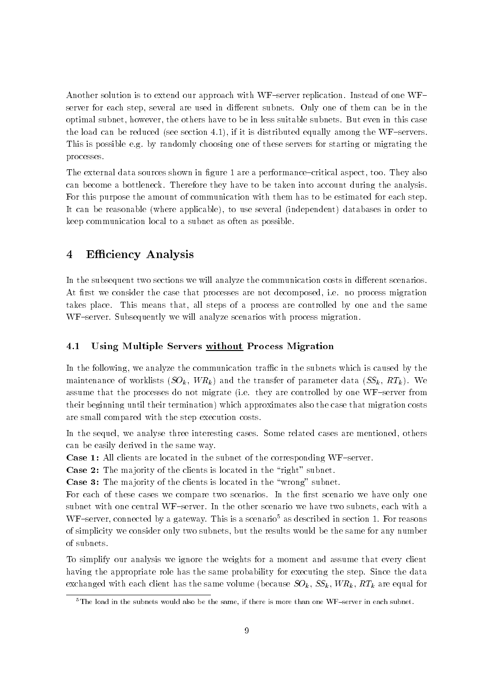Another solution is to extend our approach with WF-server replication. Instead of one  $WF$ server for each step, several are used in different subnets. Only one of them can be in the optimal subnet, however, the others have to be in less suitable subnets. But even in this case the load can be reduced (see section  $4.1$ ), if it is distributed equally among the WF-servers. This is possible e.g. by randomly choosing one of these servers for starting or migrating the processes

The external data sources shown in gure are a performancecritical aspect too They also can become a bottleneck Therefore they have to be taken into account during the analysis For this purpose the amount of communication with them has to be estimated for each step It can be reasonable (where applicable), to use several (independent) databases in order to keep communication local to a subnet as often as possible

## 4 Efficiency Analysis

In the subsequent two sections we will analyze the communication costs in different scenarios. At rst we consider the case that processes are not decomposed ie no process migration takes place. This means that, all steps of a process are controlled by one and the same WF-server. Subsequently we will analyze scenarios with process migration.

#### ---Using Multiple Servers without Process Migration

In the following, we analyze the communication traffic in the subnets which is caused by the maintenance of worklists  $(SO_k, WR_k)$  and the transfer of parameter data  $(SS_k, RT_k)$ . We assume that the processes do not migrate (i.e. they are controlled by one WF-server from their beginning until their termination) which approximates also the case that migration costs are small compared with the step execution costs

In the sequel, we analyse three interesting cases. Some related cases are mentioned, others can be easily derived in the same way

**Case 1:** All clients are located in the subnet of the corresponding  $WF$ -server.

Case 2: The majority of the clients is located in the "right" subnet.

Case 3: The majority of the clients is located in the "wrong" subnet.

For each of these cases we compare two scenarios In the rst scenario we have only one subnet with one central WF-server. In the other scenario we have two subnets, each with a WF-server, connected by a gateway. This is a scenario<sup>5</sup> as described in section 1. For reasons of simplicity we consider only two subnets but the results would be the same for any number of subnets

To simplify our analysis we ignore the weights for a moment and assume that every client having the appropriate role has the same probability for executing the step. Since the data exchanged with each client has the same volume (because  $SO_k, SS_k, WR_k, RT_k$  are equal for

 $5$ The load in the subnets would also be the same, if there is more than one WF-server in each subnet.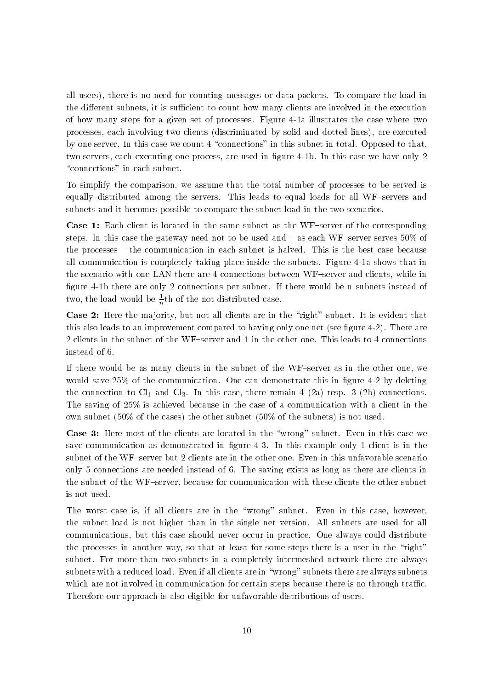all users), there is no need for counting messages or data packets. To compare the load in the different subnets, it is sufficient to count how many clients are involved in the execution of how many steps for a given set of processes. Figure 4-1a illustrates the case where two processes, each involving two clients (discriminated by solid and dotted lines), are executed by one server. In this case we count 4 "connections" in this subnet in total. Opposed to that, the servers each executing one process are used in this case we have we have  $\alpha$  in the  $\beta$ "connections" in each subnet.

To simplify the comparison, we assume that the total number of processes to be served is equally distributed among the servers. This leads to equal loads for all WF-servers and subnets and it becomes possible to compare the subnet load in the two scenarios

Case 1: Each client is located in the same subnet as the WF-server of the corresponding steps. In this case the gateway need not to be used and  $-$  as each WF-server serves  $50\%$  of the processes – the communication in each subnet is halved. This is the best case because all communication is completely taking place inside the subnets. Figure 4-1a shows that in the scenario with one LAN there are 4 connections between WF-server and clients, while in gues contents are only a connections per subdivided would be noticed and there we need the substantial two, the load would be  $\in$ th of the not distributed case.

Case 2: Here the majority, but not all clients are in the "right" subnet. It is evident that this also leads to an improvement compared to having only one net see  $\mathcal{M}$ 2 clients in the subnet of the WF-server and 1 in the other one. This leads to 4 connections instead of

If there would be as many clients in the subnet of the WF-server as in the other one, we would save  $\mathcal{W}$ the connection to Cl<sub>e</sub> In the Cl<sub>e</sub> In this case there remain a remain a remain a respectively connections to The saving of  $25\%$  is achieved because in the case of a communication with a client in the own subnet  $(50\% \text{ of the cases})$  the other subnet  $(50\% \text{ of the subnets})$  is not used.

Case 3: Here most of the clients are located in the "wrong" subnet. Even in this case we save communication as demonstrated in the sequence is in this example only  $\sim$  clients in the case subnet of the WF-server but 2 clients are in the other one. Even in this unfavorable scenario only 5 connections are needed instead of 6. The saving exists as long as there are clients in the subnet of the WF-server, because for communication with these clients the other subnet is not used

The worst case is, if all clients are in the "wrong" subnet. Even in this case, however, the subnet load is not higher than in the single net version All subnets are used for all communications, but this case should never occur in practice. One always could distribute the processes in another way, so that at least for some steps there is a user in the "right" subnet. For more than two subnets in a completely intermeshed network there are always subnets with a reduced load. Even if all clients are in "wrong" subnets there are always subnets which are not involved in communication for certain steps because there is no through traffic. Therefore our approach is also eligible for unfavorable distributions of users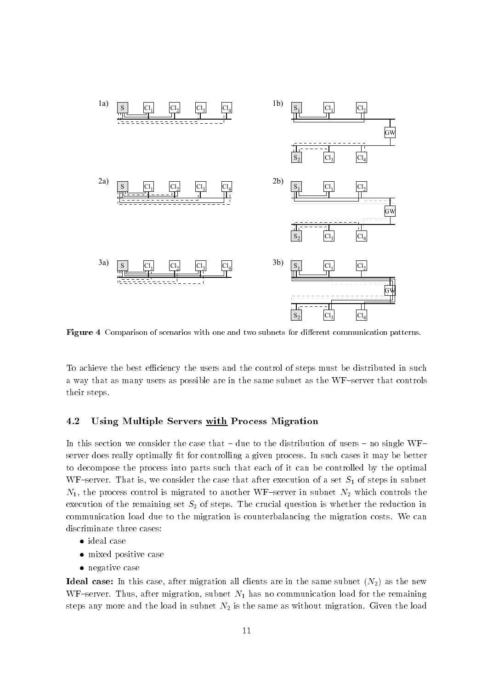

Figure Comparison of scenarios with one and two subnets for dierent communication patterns

To achieve the best efficiency the users and the control of steps must be distributed in such a way that as many users as possible are in the same subnet as the WF-server that controls their steps

#### -Using Multiple Servers with Process Migration

In this section we consider the case that  $-$  due to the distribution of users  $-$  no single WF $$ server does really optimally t for controlling a given process In such cases it may be better to decompose the process into parts such that each of it can be controlled by the optimal WFserver That is we consider the case that after execution of a set S- of steps in subnet N- the process control is migrated to another WFserver in subnet N which controls the execution of the remaining set  $S_2$  of steps. The crucial question is whether the reduction in communication load due to the migration is counterbalancing the migration costs We can discriminate three cases

- $\bullet$  <code>ideal</code> case
- $\bullet\,$  mixed positive case  $\,$
- $\bullet$  negative case

Ideal case: In this case, after migration all clients are in the same subnet  $(N_2)$  as the new we after the migration substitution substitution substitution in the remaining for the remaining and remaining steps any more and the load in subnet  $N_2$  is the same as without migration. Given the load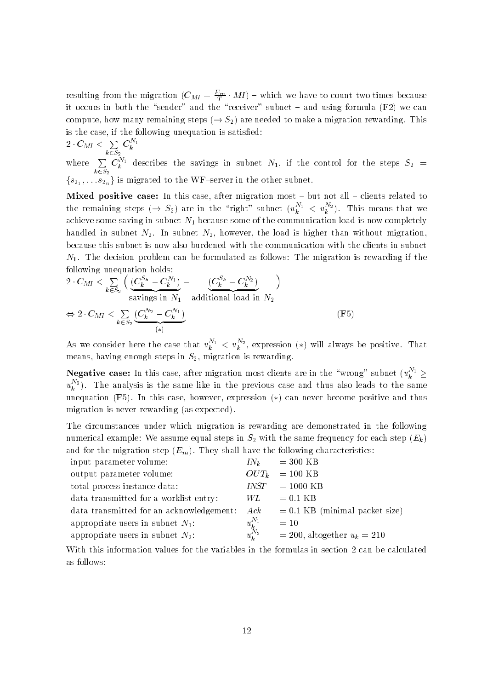resulting from the migration  $(C_{M I} = \frac{2m}{I} \cdot M I)$  – which we have to count two times because it occurs in both the "sender" and the "receiver" subnet  $-$  and using formula  $(F2)$  we can compute, how many remaining steps  $(\rightarrow S_2)$  are needed to make a migration rewarding. This is the case if the following unequation is satis ed

$$
2\cdot C_{M I} < \sum_{k\in S_2} C_k^{N_1}
$$
   
where 
$$
\sum C_{1}^{N_1} \text{ does}
$$

where  $\sum_{k \in S_2} C_k^{N_1}$  describes the savings in subnet  $N_1$ , if the control for the steps  $S_2$  = k-. . <u>.</u>  ${s_1, \ldots s_{2n}}$  is migrated to the WF-server in the other subnet.

Mixed positive case: In this case, after migration most  $-$  but not all  $-$  clients related to the remaining steps  $(\rightarrow S_2)$  are in the "right" subnet  $(u_k^{r+1} < u_k^{r+2})$ . This means that we achieve some saving in subnet  $\Gamma$  -communication load is now completely defined in  $\Gamma$ handled in subnet  $N_2$ . In subnet  $N_2$ , however, the load is higher than without migration because this subnet is now also burdened with the communication with the clients in subnet N- The decision problem can be formulated as follows The migration is rewarding if the following unequation holds

$$
2 \cdot C_{MI} < \sum_{k \in S_2} \left( \underbrace{(C_k^{S_k} - C_k^{N_1})}_{\text{savings in } N_1} - \underbrace{(C_k^{S_k} - C_k^{N_2})}_{\text{additional load in } N_2} \right)
$$
\n
$$
\Leftrightarrow 2 \cdot C_{MI} < \sum_{k \in S_2} \underbrace{(C_k^{N_2} - C_k^{N_1})}_{(*)} \tag{F5}
$$

As we consider here the case that  $u_k^{n+1} < u_k^{n+2}$ , expression (\*) will always be positive. That means, having enough steps in  $S_2$ , migration is rewarding.

**Negative case:** In this case, after migration most clients are in the "wrong" subnet  $(u_k^{i,1} \geq$  $u_k^{\pm}$ ). The analysis is the same like in the previous case and thus also leads to the same unequation  $(F5)$ . In this case, however, expression  $(*)$  can never become positive and thus migration is never rewarding (as expected).

The circumstances under which migration is rewarding are demonstrated in the following numerical example: We assume equal steps in  $S_2$  with the same frequency for each step  $(E_k)$ and for the migration step  $(E_m)$ . They shall have the following characteristics:

|             | $IN_k = 300 \text{ KB}$               |
|-------------|---------------------------------------|
| $OUT_k$     | $= 100$ KB                            |
| <i>INST</i> | $= 1000$ KB                           |
| WL.         | $= 0.1$ KB                            |
| Ack         | $= 0.1$ KB (minimal packet size)      |
|             | $=10$                                 |
|             | $= 200$ , altogether $u_k = 210$      |
|             | $\frac{u_{k}^{N_{1}}}{u_{k}^{N_{2}}}$ |

With this information values for the variables in the formulas in section 2 can be calculated as follows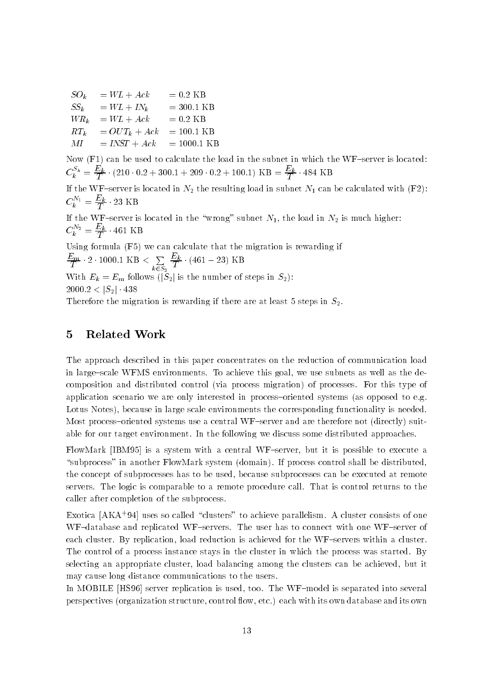$SO_k$  =  $WL + Ack$  = 0.2 KB<br> $SS_k$  =  $WL + IN_k$  = 300.1 KB  $SS_k = WL + IN_k$  $WR_k = WL + Ack = 0.2 KB$  $RT_k$  =  $OUT_k + Ack$  = 100.1 KB  $MI = INST + Ack = 1000.1 \text{ KB}$ 

Now  $(F1)$  can be used to calculate the load in the subnet in which the WF-server is located:  $C_k^* = \frac{1}{T} \cdot (210 \cdot 0.2 + 300.1 + 209 \cdot 0.2 + 100.1) \text{ KB} = \frac{1}{T} \cdot 484 \text{ KB}$ 

If the WFserver is located in N  $_{2}$  the resulting load in subnet N-1 this substance with  $N=+1$  $C_k^{\pi} = \frac{1}{T} \cdot 23$  KB

If the WFserver is located in the wrong subnet N- the load in N is much higher  $C_k^2 = \frac{46}{5} \cdot 401$  KB

Using formula (F5) we can calculate that the migration is rewarding if Em  $\cdot$  2  $\cdot$  1000.1 KB  $\lt \sum \frac{E_k}{E}$   $\cdot$  (  $\sum\limits_{k\in S_2}\overline{\overline{T}}^{\!\!\alpha}$   $\cdot$  (4)  $\cdot$  (401  $-$  79) I/D With  $E_k = E_m$  follows  $\widetilde{S_2}$  is the number of steps in  $S_2$ ):  $2000.2 < \left| S_{2} \right| \cdot 438$ 

Therefore the migration is rewarding if there are at least 5 steps in  $S_2$ .

### 5 Related Work

The approach described in this paper concentrates on the reduction of communication load in large-scale WFMS environments. To achieve this goal, we use subnets as well as the decomposition and distributed control (via process migration) of processes. For this type of application scenario we are only interested in process-oriented systems (as opposed to e.g. Lotus Notes), because in large scale environments the corresponding functionality is needed. Most process–oriented systems use a central WF-server and are therefore not (directly) suitable for our target environment. In the following we discuss some distributed approaches.

FlowMark  $[IBM95]$  is a system with a central WF-server, but it is possible to execute a "subprocess" in another FlowMark system (domain). If process control shall be distributed, the concept of subprocesses has to be used, because subprocesses can be executed at remote servers. The logic is comparable to a remote procedure call. That is control returns to the caller after completion of the subprocess

Exotica [ANA '94] uses so called clusters to achieve parallelism. A cluster consists of one WF-database and replicated WF-servers. The user has to connect with one WF-server of each cluster. By replication, load reduction is achieved for the  $WF$ -servers within a cluster. The control of a process instance stays in the cluster in which the process was started. By selecting an appropriate cluster, load balancing among the clusters can be achieved, but it may cause long distance communications to the users

In MOBILE [HS96] server replication is used, too. The WF-model is separated into several perspectives organization structure control -ow etc each with its own database and its own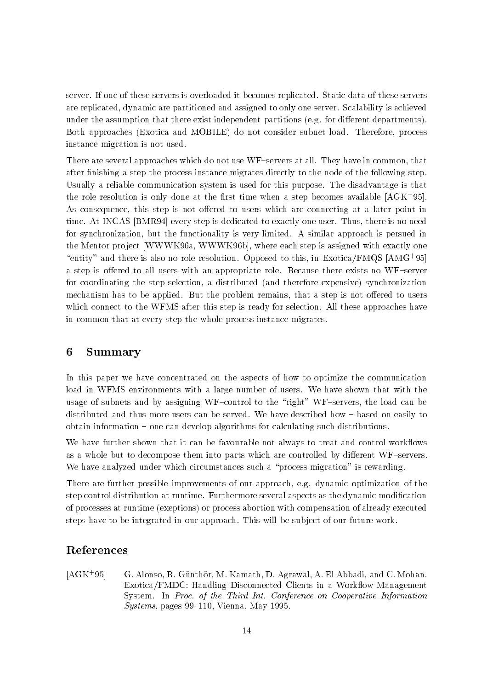server. If one of these servers is overloaded it becomes replicated. Static data of these servers are replicated, dynamic are partitioned and assigned to only one server. Scalability is achieved under the assumption that there exist independent partitions (e.g. for different departments). Both approaches (Exotica and MOBILE) do not consider subnet load. Therefore, process instance migration is not used

There are several approaches which do not use WF-servers at all. They have in common, that after nishing a step the process instance migrates directly to the node of the following step Usually a reliable communication system is used for this purpose The disadvantage is that the role resolution is only done at the first time when a step becomes available  $|\text{A}\text{G}\text{K}|\cdot$ 99]. As consequence, this step is not offered to users which are connecting at a later point in time. At INCAS [BMR94] every step is dedicated to exactly one user. Thus, there is no need for synchronization, but the functionality is very limited. A similar approach is persued in the Mentor project [WWWK96a, WWWK96b], where each step is assigned with exactly one "entity" and there is also no role resolution. Opposed to this, in Exotica/FMQS  $\vert$ AMG '95 $\vert$ a step is offered to all users with an appropriate role. Because there exists no WF-server for coordinating the step selection, a distributed (and therefore expensive) synchronization mechanism has to be applied. But the problem remains, that a step is not offered to users which connect to the WFMS after this step is ready for selection. All these approaches have in common that at every step the whole process instance migrates

#### 6 Summary

In this paper we have concentrated on the aspects of how to optimize the communication load in WFMS environments with a large number of users. We have shown that with the usage of subnets and by assigning WF-control to the "right" WF-servers, the load can be distributed and thus more users can be served. We have described how – based on easily to  $obtain information - one can develop algorithms for calculating such distributions.$ 

we have further shown that it can be favour to that it can be favourable not always to treat and control workas a whole but to decompose them into parts which are controlled by different WF-servers. We have analyzed under which circumstances such a "process migration" is rewarding.

There are further possible improvements of our approach, e.g. dynamic optimization of the step control distribution at runtime Furthermore several aspects as the dynamic modi cation of processes at runtime (exeptions) or process abortion with compensation of already executed steps have to be integrated in our approach This will be sub ject of our future work

# References

 $[AGK+95]$ G. Alonso, R. Günthör, M. Kamath, D. Agrawal, A. El Abbadi, and C. Mohan. Exotica FMDC Handling Disconnected Clients in a Work-ow Management System In Proc- of the Third Int- Conference on Cooperative Information  $Systems$ , pages 99-110, Vienna, May 1995.